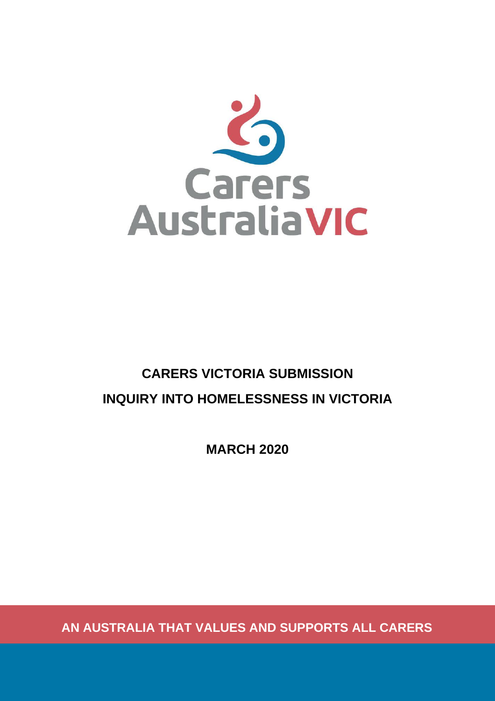

# **CARERS VICTORIA SUBMISSION INQUIRY INTO HOMELESSNESS IN VICTORIA**

**MARCH 2020**

**AN AUSTRALIA THAT VALUES AND SUPPORTS ALL CARERS**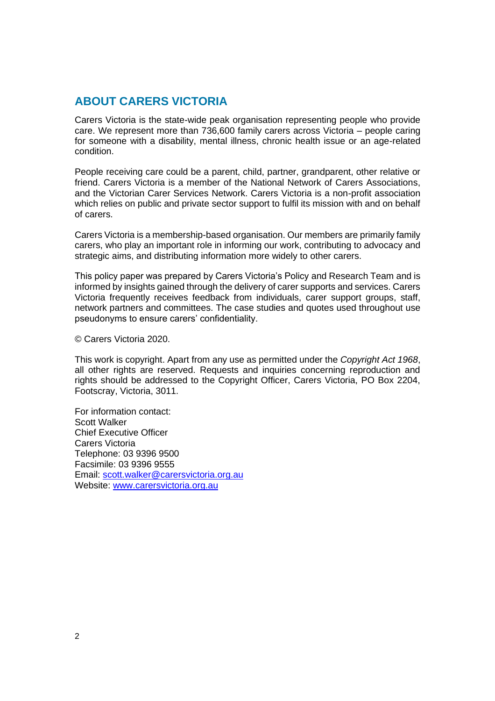### **ABOUT CARERS VICTORIA**

Carers Victoria is the state-wide peak organisation representing people who provide care. We represent more than 736,600 family carers across Victoria – people caring for someone with a disability, mental illness, chronic health issue or an age-related condition.

People receiving care could be a parent, child, partner, grandparent, other relative or friend. Carers Victoria is a member of the National Network of Carers Associations, and the Victorian Carer Services Network. Carers Victoria is a non-profit association which relies on public and private sector support to fulfil its mission with and on behalf of carers.

Carers Victoria is a membership-based organisation. Our members are primarily family carers, who play an important role in informing our work, contributing to advocacy and strategic aims, and distributing information more widely to other carers.

This policy paper was prepared by Carers Victoria's Policy and Research Team and is informed by insights gained through the delivery of carer supports and services. Carers Victoria frequently receives feedback from individuals, carer support groups, staff, network partners and committees. The case studies and quotes used throughout use pseudonyms to ensure carers' confidentiality.

© Carers Victoria 2020.

This work is copyright. Apart from any use as permitted under the *Copyright Act 1968*, all other rights are reserved. Requests and inquiries concerning reproduction and rights should be addressed to the Copyright Officer, Carers Victoria, PO Box 2204, Footscray, Victoria, 3011.

For information contact: Scott Walker Chief Executive Officer Carers Victoria Telephone: 03 9396 9500 Facsimile: 03 9396 9555 Email: [scott.walker@carersvictoria.org.au](mailto:scott.walker@carersvictoria.org.au) Website: [www.carersvictoria.org.au](http://www.carersvictoria.org.au/)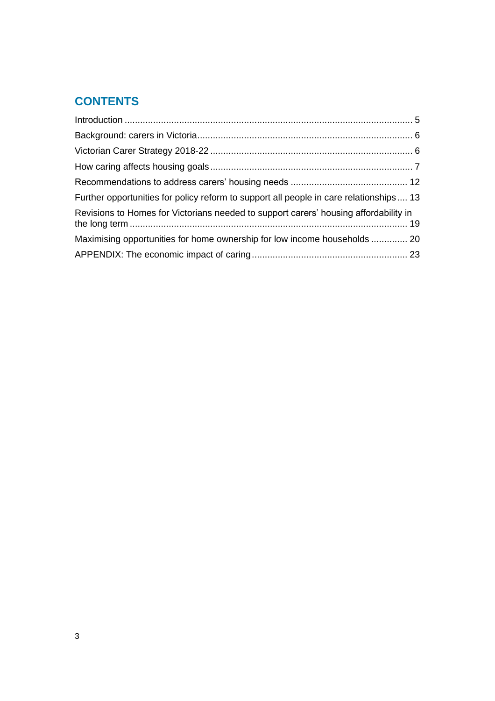# **CONTENTS**

| Further opportunities for policy reform to support all people in care relationships 13 |  |
|----------------------------------------------------------------------------------------|--|
| Revisions to Homes for Victorians needed to support carers' housing affordability in   |  |
| Maximising opportunities for home ownership for low income households  20              |  |
|                                                                                        |  |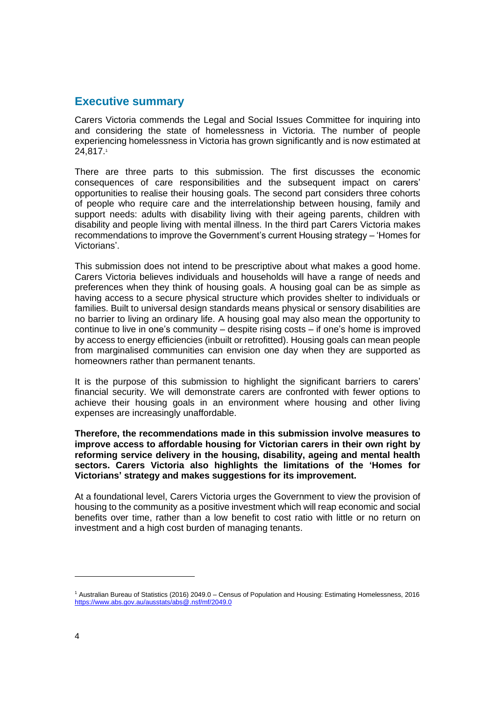### **Executive summary**

Carers Victoria commends the Legal and Social Issues Committee for inquiring into and considering the state of homelessness in Victoria. The number of people experiencing homelessness in Victoria has grown significantly and is now estimated at 24,817.<sup>1</sup>

There are three parts to this submission. The first discusses the economic consequences of care responsibilities and the subsequent impact on carers' opportunities to realise their housing goals. The second part considers three cohorts of people who require care and the interrelationship between housing, family and support needs: adults with disability living with their ageing parents, children with disability and people living with mental illness. In the third part Carers Victoria makes recommendations to improve the Government's current Housing strategy – 'Homes for Victorians'.

This submission does not intend to be prescriptive about what makes a good home. Carers Victoria believes individuals and households will have a range of needs and preferences when they think of housing goals. A housing goal can be as simple as having access to a secure physical structure which provides shelter to individuals or families. Built to universal design standards means physical or sensory disabilities are no barrier to living an ordinary life. A housing goal may also mean the opportunity to continue to live in one's community – despite rising costs – if one's home is improved by access to energy efficiencies (inbuilt or retrofitted). Housing goals can mean people from marginalised communities can envision one day when they are supported as homeowners rather than permanent tenants.

It is the purpose of this submission to highlight the significant barriers to carers' financial security. We will demonstrate carers are confronted with fewer options to achieve their housing goals in an environment where housing and other living expenses are increasingly unaffordable.

**Therefore, the recommendations made in this submission involve measures to improve access to affordable housing for Victorian carers in their own right by reforming service delivery in the housing, disability, ageing and mental health sectors. Carers Victoria also highlights the limitations of the 'Homes for Victorians' strategy and makes suggestions for its improvement.** 

At a foundational level, Carers Victoria urges the Government to view the provision of housing to the community as a positive investment which will reap economic and social benefits over time, rather than a low benefit to cost ratio with little or no return on investment and a high cost burden of managing tenants.

<sup>1</sup> Australian Bureau of Statistics (2016) 2049.0 – Census of Population and Housing: Estimating Homelessness, 2016 <https://www.abs.gov.au/ausstats/abs@.nsf/mf/2049.0>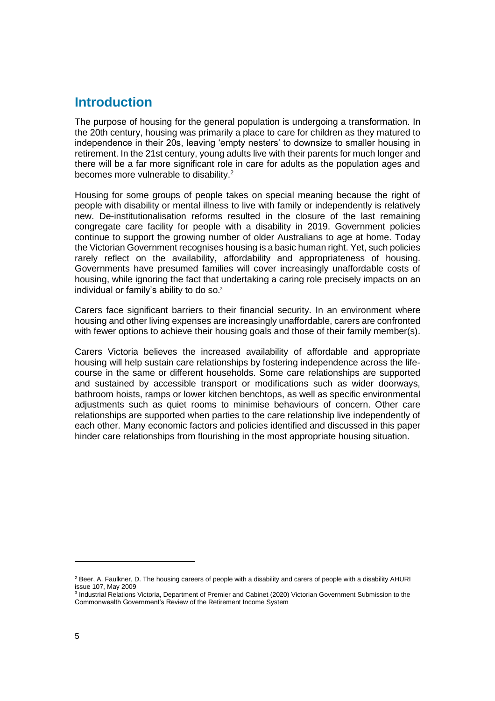### <span id="page-4-0"></span>**Introduction**

The purpose of housing for the general population is undergoing a transformation. In the 20th century, housing was primarily a place to care for children as they matured to independence in their 20s, leaving 'empty nesters' to downsize to smaller housing in retirement. In the 21st century, young adults live with their parents for much longer and there will be a far more significant role in care for adults as the population ages and becomes more vulnerable to disability.<sup>2</sup>

Housing for some groups of people takes on special meaning because the right of people with disability or mental illness to live with family or independently is relatively new. De-institutionalisation reforms resulted in the closure of the last remaining congregate care facility for people with a disability in 2019. Government policies continue to support the growing number of older Australians to age at home. Today the Victorian Government recognises housing is a basic human right. Yet, such policies rarely reflect on the availability, affordability and appropriateness of housing. Governments have presumed families will cover increasingly unaffordable costs of housing, while ignoring the fact that undertaking a caring role precisely impacts on an individual or family's ability to do so.<sup>3</sup>

Carers face significant barriers to their financial security. In an environment where housing and other living expenses are increasingly unaffordable, carers are confronted with fewer options to achieve their housing goals and those of their family member(s).

Carers Victoria believes the increased availability of affordable and appropriate housing will help sustain care relationships by fostering independence across the lifecourse in the same or different households. Some care relationships are supported and sustained by accessible transport or modifications such as wider doorways, bathroom hoists, ramps or lower kitchen benchtops, as well as specific environmental adjustments such as quiet rooms to minimise behaviours of concern. Other care relationships are supported when parties to the care relationship live independently of each other. Many economic factors and policies identified and discussed in this paper hinder care relationships from flourishing in the most appropriate housing situation.

<sup>&</sup>lt;sup>2</sup> Beer, A. Faulkner, D. The housing careers of people with a disability and carers of people with a disability AHURI issue 107, May 2009

<sup>&</sup>lt;sup>3</sup> Industrial Relations Victoria, Department of Premier and Cabinet (2020) Victorian Government Submission to the Commonwealth Government's Review of the Retirement Income System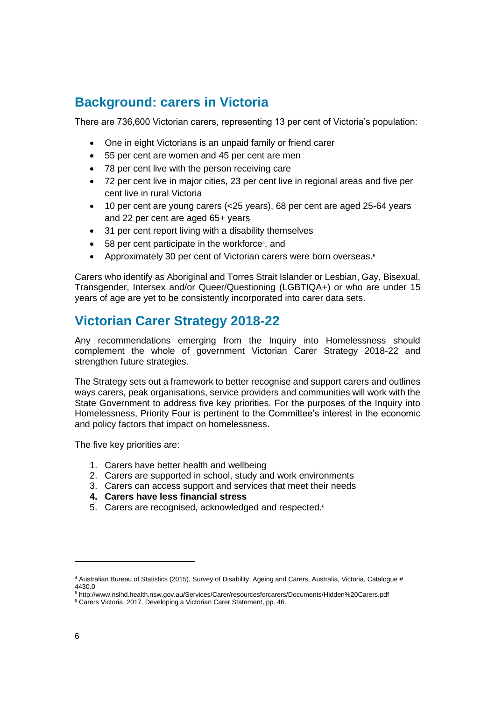### <span id="page-5-0"></span>**Background: carers in Victoria**

There are 736,600 Victorian carers, representing 13 per cent of Victoria's population:

- One in eight Victorians is an unpaid family or friend carer
- 55 per cent are women and 45 per cent are men
- 78 per cent live with the person receiving care
- 72 per cent live in major cities, 23 per cent live in regional areas and five per cent live in rural Victoria
- 10 per cent are young carers (<25 years), 68 per cent are aged 25-64 years and 22 per cent are aged 65+ years
- 31 per cent report living with a disability themselves
- 58 per cent participate in the workforce<sup>4</sup>, and
- Approximately 30 per cent of Victorian carers were born overseas.<sup>5</sup>

Carers who identify as Aboriginal and Torres Strait Islander or Lesbian, Gay, Bisexual, Transgender, Intersex and/or Queer/Questioning (LGBTIQA+) or who are under 15 years of age are yet to be consistently incorporated into carer data sets.

## <span id="page-5-1"></span>**Victorian Carer Strategy 2018-22**

Any recommendations emerging from the Inquiry into Homelessness should complement the whole of government Victorian Carer Strategy 2018-22 and strengthen future strategies.

The Strategy sets out a framework to better recognise and support carers and outlines ways carers, peak organisations, service providers and communities will work with the State Government to address five key priorities. For the purposes of the Inquiry into Homelessness, Priority Four is pertinent to the Committee's interest in the economic and policy factors that impact on homelessness.

The five key priorities are:

- 1. Carers have better health and wellbeing
- 2. Carers are supported in school, study and work environments
- 3. Carers can access support and services that meet their needs
- **4. Carers have less financial stress**
- 5. Carers are recognised, acknowledged and respected.<sup>6</sup>

<sup>4</sup> Australian Bureau of Statistics (2015), Survey of Disability, Ageing and Carers, Australia, Victoria, Catalogue # 4430.0

<sup>5</sup> http://www.nslhd.health.nsw.gov.au/Services/Carer/resourcesforcarers/Documents/Hidden%20Carers.pdf

<sup>6</sup> Carers Victoria, 2017. Developing a Victorian Carer Statement, pp. 46.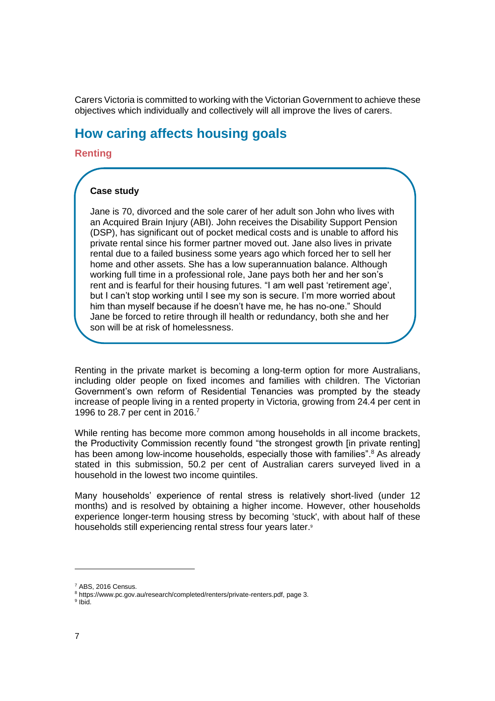Carers Victoria is committed to working with the Victorian Government to achieve these objectives which individually and collectively will all improve the lives of carers.

### <span id="page-6-0"></span>**How caring affects housing goals**

**Renting**

#### **Case study**

Jane is 70, divorced and the sole carer of her adult son John who lives with an Acquired Brain Injury (ABI). John receives the Disability Support Pension (DSP), has significant out of pocket medical costs and is unable to afford his private rental since his former partner moved out. Jane also lives in private rental due to a failed business some years ago which forced her to sell her home and other assets. She has a low superannuation balance. Although working full time in a professional role, Jane pays both her and her son's rent and is fearful for their housing futures. "I am well past 'retirement age', but I can't stop working until I see my son is secure. I'm more worried about him than myself because if he doesn't have me, he has no-one." Should Jane be forced to retire through ill health or redundancy, both she and her son will be at risk of homelessness.

Renting in the private market is becoming a long-term option for more Australians, including older people on fixed incomes and families with children. The Victorian Government's own reform of Residential Tenancies was prompted by the steady increase of people living in a rented property in Victoria, growing from 24.4 per cent in 1996 to 28.7 per cent in 2016.<sup>7</sup>

While renting has become more common among households in all income brackets, the Productivity Commission recently found "the strongest growth [in private renting] has been among low-income households, especially those with families".<sup>8</sup> As already stated in this submission, 50.2 per cent of Australian carers surveyed lived in a household in the lowest two income quintiles.

Many households' experience of rental stress is relatively short-lived (under 12 months) and is resolved by obtaining a higher income. However, other households experience longer-term housing stress by becoming 'stuck', with about half of these households still experiencing rental stress four years later.<sup>9</sup>

<sup>7</sup> ABS, 2016 Census.

<sup>8</sup> [https://www.pc.gov.au/research/completed/renters/private-renters.pdf,](https://www.pc.gov.au/research/completed/renters/private-renters.pdf) page 3.

<sup>&</sup>lt;sup>9</sup> Ibid.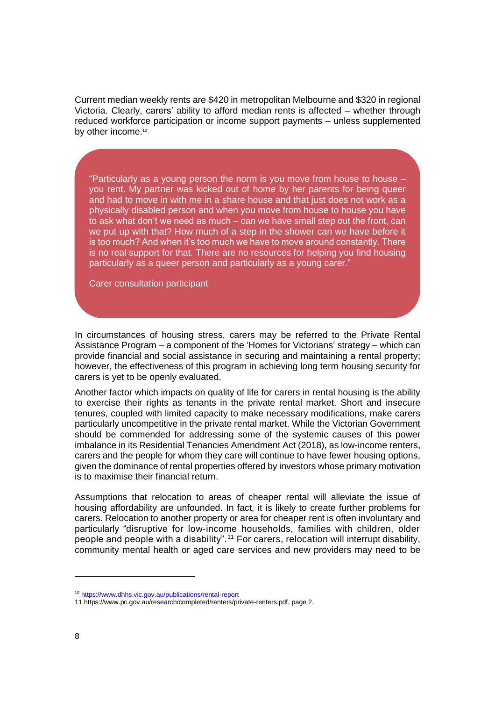Current median weekly rents are \$420 in metropolitan Melbourne and \$320 in regional Victoria. Clearly, carers' ability to afford median rents is affected – whether through reduced workforce participation or income support payments – unless supplemented by other income.<sup>10</sup>

"Particularly as a young person the norm is you move from house to house – you rent. My partner was kicked out of home by her parents for being queer and had to move in with me in a share house and that just does not work as a physically disabled person and when you move from house to house you have to ask what don't we need as much – can we have small step out the front, can we put up with that? How much of a step in the shower can we have before it is too much? And when it's too much we have to move around constantly. There is no real support for that. There are no resources for helping you find housing particularly as a queer person and particularly as a young carer."

Carer consultation participant

In circumstances of housing stress, carers may be referred to the Private Rental Assistance Program – a component of the 'Homes for Victorians' strategy – which can provide financial and social assistance in securing and maintaining a rental property; however, the effectiveness of this program in achieving long term housing security for carers is yet to be openly evaluated.

Another factor which impacts on quality of life for carers in rental housing is the ability to exercise their rights as tenants in the private rental market. Short and insecure tenures, coupled with limited capacity to make necessary modifications, make carers particularly uncompetitive in the private rental market. While the Victorian Government should be commended for addressing some of the systemic causes of this power imbalance in its Residential Tenancies Amendment Act (2018), as low-income renters, carers and the people for whom they care will continue to have fewer housing options, given the dominance of rental properties offered by investors whose primary motivation is to maximise their financial return.

Assumptions that relocation to areas of cheaper rental will alleviate the issue of housing affordability are unfounded. In fact, it is likely to create further problems for carers. Relocation to another property or area for cheaper rent is often involuntary and particularly "disruptive for low-income households, families with children, older people and people with a disability".<sup>11</sup> For carers, relocation will interrupt disability, community mental health or aged care services and new providers may need to be

<sup>10</sup> <https://www.dhhs.vic.gov.au/publications/rental-report>

<sup>11</sup> [https://www.pc.gov.au/research/completed/renters/private-renters.pdf,](https://www.pc.gov.au/research/completed/renters/private-renters.pdf) page 2.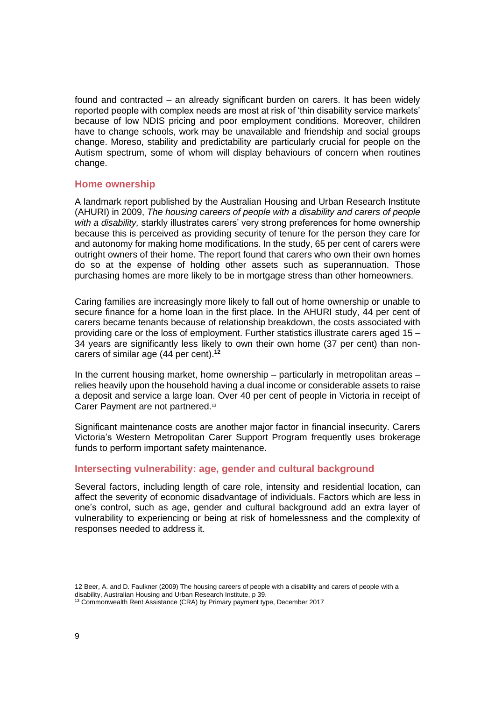found and contracted – an already significant burden on carers. It has been widely reported people with complex needs are most at risk of 'thin disability service markets' because of low NDIS pricing and poor employment conditions. Moreover, children have to change schools, work may be unavailable and friendship and social groups change. Moreso, stability and predictability are particularly crucial for people on the Autism spectrum, some of whom will display behaviours of concern when routines change.

#### **Home ownership**

A landmark report published by the Australian Housing and Urban Research Institute (AHURI) in 2009, *The housing careers of people with a disability and carers of people with a disability,* starkly illustrates carers' very strong preferences for home ownership because this is perceived as providing security of tenure for the person they care for and autonomy for making home modifications. In the study, 65 per cent of carers were outright owners of their home. The report found that carers who own their own homes do so at the expense of holding other assets such as superannuation. Those purchasing homes are more likely to be in mortgage stress than other homeowners.

Caring families are increasingly more likely to fall out of home ownership or unable to secure finance for a home loan in the first place. In the AHURI study, 44 per cent of carers became tenants because of relationship breakdown, the costs associated with providing care or the loss of employment. Further statistics illustrate carers aged 15 – 34 years are significantly less likely to own their own home (37 per cent) than noncarers of similar age (44 per cent).**<sup>12</sup>**

In the current housing market, home ownership – particularly in metropolitan areas – relies heavily upon the household having a dual income or considerable assets to raise a deposit and service a large loan. Over 40 per cent of people in Victoria in receipt of Carer Payment are not partnered.<sup>13</sup>

Significant maintenance costs are another major factor in financial insecurity. Carers Victoria's Western Metropolitan Carer Support Program frequently uses brokerage funds to perform important safety maintenance.

#### **Intersecting vulnerability: age, gender and cultural background**

Several factors, including length of care role, intensity and residential location, can affect the severity of economic disadvantage of individuals. Factors which are less in one's control, such as age, gender and cultural background add an extra layer of vulnerability to experiencing or being at risk of homelessness and the complexity of responses needed to address it.

<sup>12</sup> Beer, A. and D. Faulkner (2009) The housing careers of people with a disability and carers of people with a disability, Australian Housing and Urban Research Institute, p 39.

<sup>&</sup>lt;sup>13</sup> Commonwealth Rent Assistance (CRA) by Primary payment type, December 2017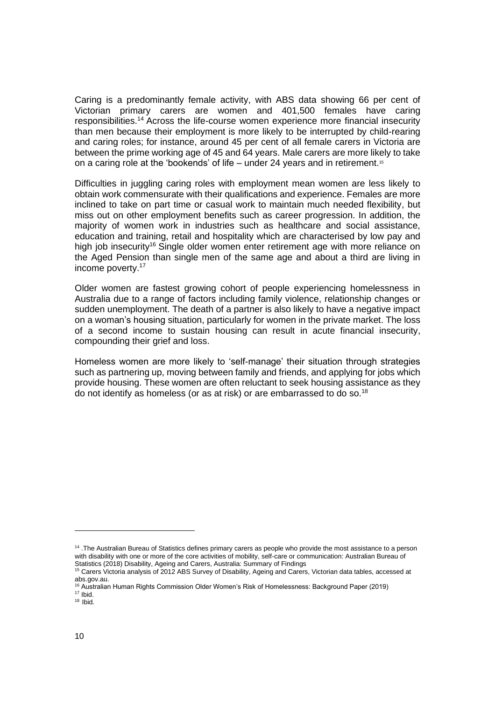Caring is a predominantly female activity, with ABS data showing 66 per cent of Victorian primary carers are women and 401,500 females have caring responsibilities.<sup>14</sup> Across the life-course women experience more financial insecurity than men because their employment is more likely to be interrupted by child-rearing and caring roles; for instance, around 45 per cent of all female carers in Victoria are between the prime working age of 45 and 64 years. Male carers are more likely to take on a caring role at the 'bookends' of life – under 24 years and in retirement.<sup>15</sup>

Difficulties in juggling caring roles with employment mean women are less likely to obtain work commensurate with their qualifications and experience. Females are more inclined to take on part time or casual work to maintain much needed flexibility, but miss out on other employment benefits such as career progression. In addition, the majority of women work in industries such as healthcare and social assistance, education and training, retail and hospitality which are characterised by low pay and high job insecurity<sup>16</sup> Single older women enter retirement age with more reliance on the Aged Pension than single men of the same age and about a third are living in income poverty.<sup>17</sup>

Older women are fastest growing cohort of people experiencing homelessness in Australia due to a range of factors including family violence, relationship changes or sudden unemployment. The death of a partner is also likely to have a negative impact on a woman's housing situation, particularly for women in the private market. The loss of a second income to sustain housing can result in acute financial insecurity, compounding their grief and loss.

Homeless women are more likely to 'self-manage' their situation through strategies such as partnering up, moving between family and friends, and applying for jobs which provide housing. These women are often reluctant to seek housing assistance as they do not identify as homeless (or as at risk) or are embarrassed to do so.<sup>18</sup>

<sup>14</sup> .The Australian Bureau of Statistics defines primary carers as people who provide the most assistance to a person with disability with one or more of the core activities of mobility, self-care or communication: Australian Bureau of Statistics (2018) Disability, Ageing and Carers, Australia: Summary of Findings

<sup>15</sup> Carers Victoria analysis of 2012 ABS Survey of Disability, Ageing and Carers, Victorian data tables, accessed at abs.gov.au.

<sup>16</sup> Australian Human Rights Commission Older Women's Risk of Homelessness: Background Paper (2019)

 $17$  Ibid.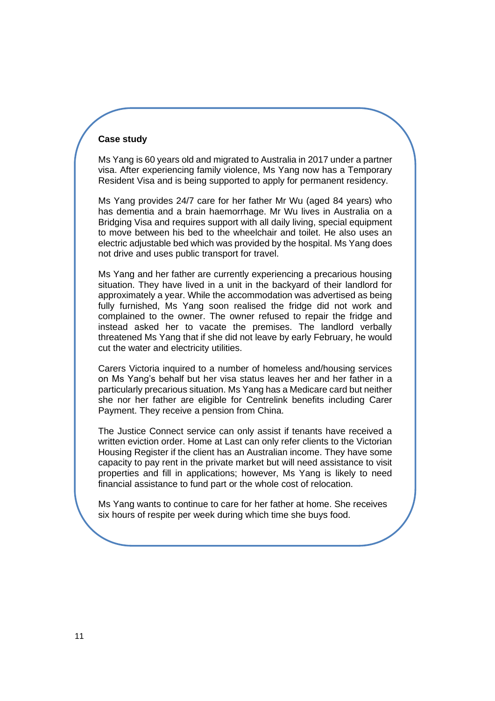#### **Case study**

Ms Yang is 60 years old and migrated to Australia in 2017 under a partner visa. After experiencing family violence, Ms Yang now has a Temporary Resident Visa and is being supported to apply for permanent residency.

Ms Yang provides 24/7 care for her father Mr Wu (aged 84 years) who has dementia and a brain haemorrhage. Mr Wu lives in Australia on a Bridging Visa and requires support with all daily living, special equipment to move between his bed to the wheelchair and toilet. He also uses an electric adjustable bed which was provided by the hospital. Ms Yang does not drive and uses public transport for travel.

Ms Yang and her father are currently experiencing a precarious housing situation. They have lived in a unit in the backyard of their landlord for approximately a year. While the accommodation was advertised as being fully furnished. Ms Yang soon realised the fridge did not work and complained to the owner. The owner refused to repair the fridge and instead asked her to vacate the premises. The landlord verbally threatened Ms Yang that if she did not leave by early February, he would cut the water and electricity utilities.

Carers Victoria inquired to a number of homeless and/housing services on Ms Yang's behalf but her visa status leaves her and her father in a particularly precarious situation. Ms Yang has a Medicare card but neither she nor her father are eligible for Centrelink benefits including Carer Payment. They receive a pension from China.

The Justice Connect service can only assist if tenants have received a written eviction order. Home at Last can only refer clients to the Victorian Housing Register if the client has an Australian income. They have some capacity to pay rent in the private market but will need assistance to visit properties and fill in applications; however, Ms Yang is likely to need financial assistance to fund part or the whole cost of relocation.

Ms Yang wants to continue to care for her father at home. She receives six hours of respite per week during which time she buys food.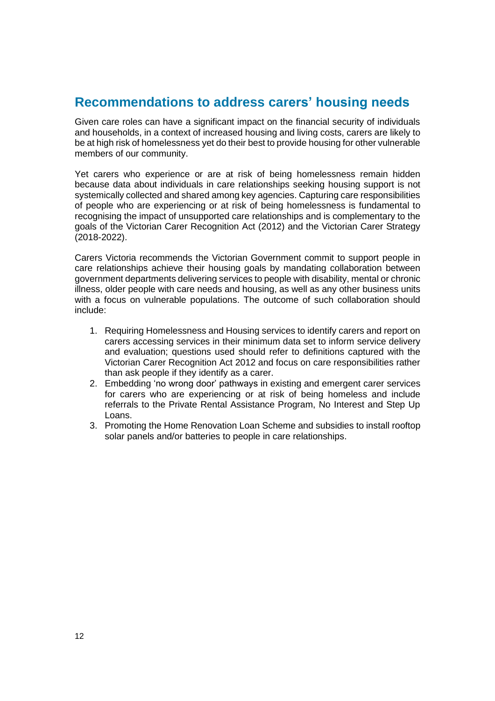### <span id="page-11-0"></span>**Recommendations to address carers' housing needs**

Given care roles can have a significant impact on the financial security of individuals and households, in a context of increased housing and living costs, carers are likely to be at high risk of homelessness yet do their best to provide housing for other vulnerable members of our community.

Yet carers who experience or are at risk of being homelessness remain hidden because data about individuals in care relationships seeking housing support is not systemically collected and shared among key agencies. Capturing care responsibilities of people who are experiencing or at risk of being homelessness is fundamental to recognising the impact of unsupported care relationships and is complementary to the goals of the Victorian Carer Recognition Act (2012) and the Victorian Carer Strategy (2018-2022).

Carers Victoria recommends the Victorian Government commit to support people in care relationships achieve their housing goals by mandating collaboration between government departments delivering services to people with disability, mental or chronic illness, older people with care needs and housing, as well as any other business units with a focus on vulnerable populations. The outcome of such collaboration should include:

- 1. Requiring Homelessness and Housing services to identify carers and report on carers accessing services in their minimum data set to inform service delivery and evaluation; questions used should refer to definitions captured with the Victorian Carer Recognition Act 2012 and focus on care responsibilities rather than ask people if they identify as a carer.
- 2. Embedding 'no wrong door' pathways in existing and emergent carer services for carers who are experiencing or at risk of being homeless and include referrals to the Private Rental Assistance Program, No Interest and Step Up Loans.
- 3. Promoting the Home Renovation Loan Scheme and subsidies to install rooftop solar panels and/or batteries to people in care relationships.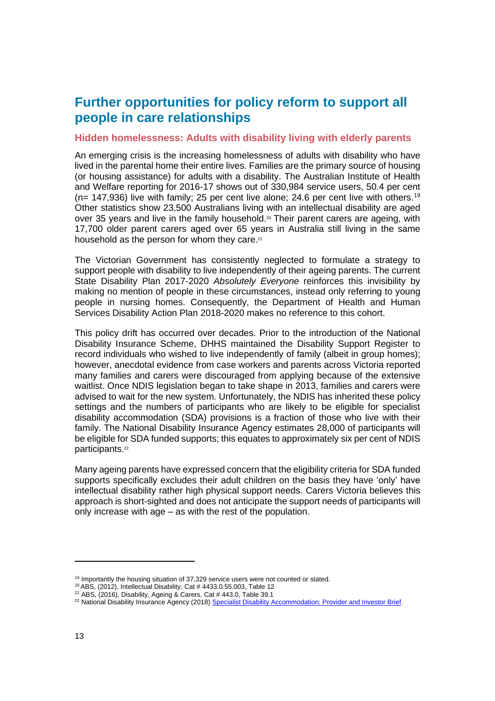### <span id="page-12-0"></span>**Further opportunities for policy reform to support all people in care relationships**

#### **Hidden homelessness: Adults with disability living with elderly parents**

An emerging crisis is the increasing homelessness of adults with disability who have lived in the parental home their entire lives. Families are the primary source of housing (or housing assistance) for adults with a disability. The Australian Institute of Health and Welfare reporting for 2016-17 shows out of 330,984 service users, 50.4 per cent ( $n= 147,936$ ) live with family; 25 per cent live alone; 24.6 per cent live with others.<sup>19</sup> Other statistics show 23,500 Australians living with an intellectual disability are aged over 35 years and live in the family household.<sup>20</sup> Their parent carers are ageing, with 17,700 older parent carers aged over 65 years in Australia still living in the same household as the person for whom they care.<sup>21</sup>

The Victorian Government has consistently neglected to formulate a strategy to support people with disability to live independently of their ageing parents. The current State Disability Plan 2017-2020 *Absolutely Everyone* reinforces this invisibility by making no mention of people in these circumstances, instead only referring to young people in nursing homes. Consequently, the Department of Health and Human Services Disability Action Plan 2018-2020 makes no reference to this cohort.

This policy drift has occurred over decades. Prior to the introduction of the National Disability Insurance Scheme, DHHS maintained the Disability Support Register to record individuals who wished to live independently of family (albeit in group homes); however, anecdotal evidence from case workers and parents across Victoria reported many families and carers were discouraged from applying because of the extensive waitlist. Once NDIS legislation began to take shape in 2013, families and carers were advised to wait for the new system. Unfortunately, the NDIS has inherited these policy settings and the numbers of participants who are likely to be eligible for specialist disability accommodation (SDA) provisions is a fraction of those who live with their family. The National Disability Insurance Agency estimates 28,000 of participants will be eligible for SDA funded supports; this equates to approximately six per cent of NDIS participants. 22

Many ageing parents have expressed concern that the eligibility criteria for SDA funded supports specifically excludes their adult children on the basis they have 'only' have intellectual disability rather high physical support needs. Carers Victoria believes this approach is short-sighted and does not anticipate the support needs of participants will only increase with age – as with the rest of the population.

<sup>&</sup>lt;sup>19</sup> Importantly the housing situation of 37,329 service users were not counted or stated.

<sup>20</sup> ABS, (2012), Intellectual Disability, Cat # 4433.0.55.003, Table 12

<sup>21</sup> ABS, (2016), Disability, Ageing & Carers, Cat # 443.0, Table 39.1

<sup>&</sup>lt;sup>22</sup> National Disability Insurance Agency (2018) [Specialist Disability Accommodation: Provider and Investor Brief.](https://www.ndis.gov.au/providers/housing-and-living-supports-and-services/housing/specialist-disability-accommodation/sda-provider-and-investor-brief)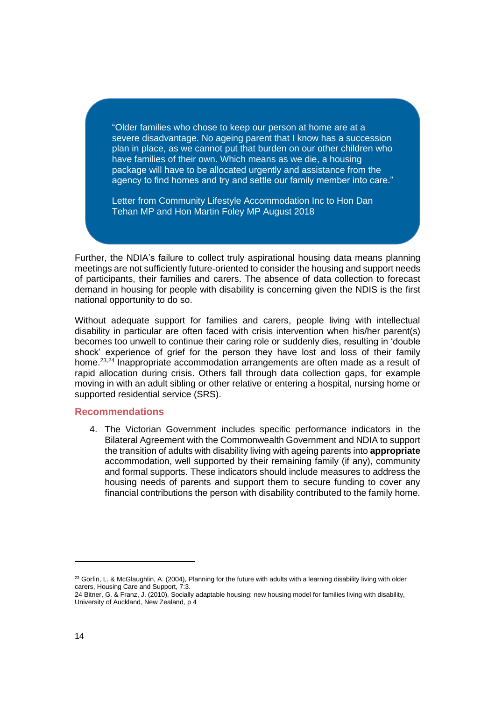"Older families who chose to keep our person at home are at a severe disadvantage. No ageing parent that I know has a succession plan in place, as we cannot put that burden on our other children who have families of their own. Which means as we die, a housing package will have to be allocated urgently and assistance from the agency to find homes and try and settle our family member into care."

Letter from Community Lifestyle Accommodation Inc to Hon Dan Tehan MP and Hon Martin Foley MP August 2018

Further, the NDIA's failure to collect truly aspirational housing data means planning meetings are not sufficiently future-oriented to consider the housing and support needs of participants, their families and carers. The absence of data collection to forecast demand in housing for people with disability is concerning given the NDIS is the first national opportunity to do so.

Without adequate support for families and carers, people living with intellectual disability in particular are often faced with crisis intervention when his/her parent(s) becomes too unwell to continue their caring role or suddenly dies, resulting in 'double shock' experience of grief for the person they have lost and loss of their family home.<sup>23,24</sup> Inappropriate accommodation arrangements are often made as a result of rapid allocation during crisis. Others fall through data collection gaps, for example moving in with an adult sibling or other relative or entering a hospital, nursing home or supported residential service (SRS).

#### **Recommendations**

4. The Victorian Government includes specific performance indicators in the Bilateral Agreement with the Commonwealth Government and NDIA to support the transition of adults with disability living with ageing parents into **appropriate** accommodation, well supported by their remaining family (if any), community and formal supports. These indicators should include measures to address the housing needs of parents and support them to secure funding to cover any financial contributions the person with disability contributed to the family home.

 $23$  Gorfin, L. & McGlaughlin, A. (2004), Planning for the future with adults with a learning disability living with older carers, Housing Care and Support, 7:3.

<sup>24</sup> Bitner, G. & Franz, J. (2010), Socially adaptable housing: new housing model for families living with disability, University of Auckland, New Zealand, p 4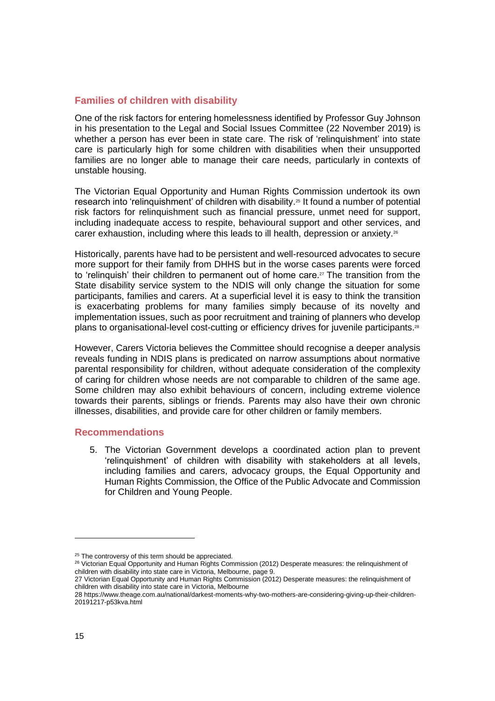#### **Families of children with disability**

One of the risk factors for entering homelessness identified by Professor Guy Johnson in his presentation to the Legal and Social Issues Committee (22 November 2019) is whether a person has ever been in state care. The risk of 'relinquishment' into state care is particularly high for some children with disabilities when their unsupported families are no longer able to manage their care needs, particularly in contexts of unstable housing.

The Victorian Equal Opportunity and Human Rights Commission undertook its own research into 'relinquishment' of children with disability.<sup>25</sup> It found a number of potential risk factors for relinquishment such as financial pressure, unmet need for support, including inadequate access to respite, behavioural support and other services, and carer exhaustion, including where this leads to ill health, depression or anxiety.<sup>26</sup>

Historically, parents have had to be persistent and well-resourced advocates to secure more support for their family from DHHS but in the worse cases parents were forced to 'relinguish' their children to permanent out of home care.<sup>27</sup> The transition from the State disability service system to the NDIS will only change the situation for some participants, families and carers. At a superficial level it is easy to think the transition is exacerbating problems for many families simply because of its novelty and implementation issues, such as poor recruitment and training of planners who develop plans to organisational-level cost-cutting or efficiency drives for juvenile participants.<sup>28</sup>

However, Carers Victoria believes the Committee should recognise a deeper analysis reveals funding in NDIS plans is predicated on narrow assumptions about normative parental responsibility for children, without adequate consideration of the complexity of caring for children whose needs are not comparable to children of the same age. Some children may also exhibit behaviours of concern, including extreme violence towards their parents, siblings or friends. Parents may also have their own chronic illnesses, disabilities, and provide care for other children or family members.

#### **Recommendations**

5. The Victorian Government develops a coordinated action plan to prevent 'relinquishment' of children with disability with stakeholders at all levels, including families and carers, advocacy groups, the Equal Opportunity and Human Rights Commission, the Office of the Public Advocate and Commission for Children and Young People.

<sup>&</sup>lt;sup>25</sup> The controversy of this term should be appreciated.

<sup>&</sup>lt;sup>26</sup> Victorian Equal Opportunity and Human Rights Commission (2012) Desperate measures: the relinquishment of children with disability into state care in Victoria, Melbourne, page 9.

<sup>27</sup> Victorian Equal Opportunity and Human Rights Commission (2012) Desperate measures: the relinquishment of children with disability into state care in Victoria, Melbourne

<sup>28</sup> [https://www.theage.com.au/national/darkest-moments-why-two-mothers-are-considering-giving-up-their-children-](https://www.theage.com.au/national/darkest-moments-why-two-mothers-are-considering-giving-up-their-children-20191217-p53kva.html)[20191217-p53kva.html](https://www.theage.com.au/national/darkest-moments-why-two-mothers-are-considering-giving-up-their-children-20191217-p53kva.html)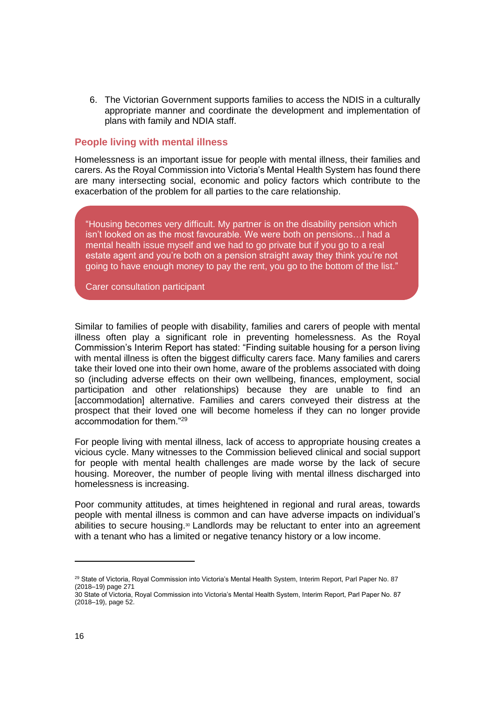6. The Victorian Government supports families to access the NDIS in a culturally appropriate manner and coordinate the development and implementation of plans with family and NDIA staff.

#### **People living with mental illness**

Homelessness is an important issue for people with mental illness, their families and carers. As the Royal Commission into Victoria's Mental Health System has found there are many intersecting social, economic and policy factors which contribute to the exacerbation of the problem for all parties to the care relationship.

"Housing becomes very difficult. My partner is on the disability pension which isn't looked on as the most favourable. We were both on pensions…I had a mental health issue myself and we had to go private but if you go to a real estate agent and you're both on a pension straight away they think you're not going to have enough money to pay the rent, you go to the bottom of the list."

Carer consultation participant

Similar to families of people with disability, families and carers of people with mental illness often play a significant role in preventing homelessness. As the Royal Commission's Interim Report has stated: "Finding suitable housing for a person living with mental illness is often the biggest difficulty carers face. Many families and carers take their loved one into their own home, aware of the problems associated with doing so (including adverse effects on their own wellbeing, finances, employment, social participation and other relationships) because they are unable to find an [accommodation] alternative. Families and carers conveyed their distress at the prospect that their loved one will become homeless if they can no longer provide accommodation for them."<sup>29</sup>

For people living with mental illness, lack of access to appropriate housing creates a vicious cycle. Many witnesses to the Commission believed clinical and social support for people with mental health challenges are made worse by the lack of secure housing. Moreover, the number of people living with mental illness discharged into homelessness is increasing.

Poor community attitudes, at times heightened in regional and rural areas, towards people with mental illness is common and can have adverse impacts on individual's abilities to secure housing. $30$  Landlords may be reluctant to enter into an agreement with a tenant who has a limited or negative tenancy history or a low income.

<sup>&</sup>lt;sup>29</sup> State of Victoria, Royal Commission into Victoria's Mental Health System, Interim Report, Parl Paper No. 87 (2018–19) page 271

<sup>30</sup> State of Victoria, Royal Commission into Victoria's Mental Health System, Interim Report, Parl Paper No. 87 (2018–19), page 52.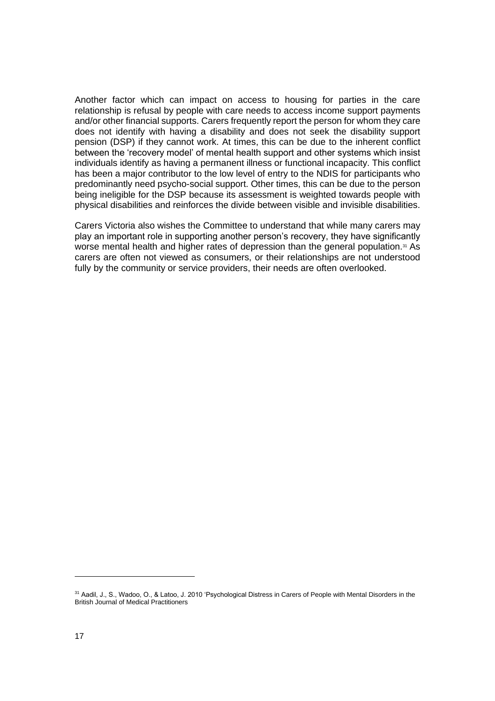Another factor which can impact on access to housing for parties in the care relationship is refusal by people with care needs to access income support payments and/or other financial supports. Carers frequently report the person for whom they care does not identify with having a disability and does not seek the disability support pension (DSP) if they cannot work. At times, this can be due to the inherent conflict between the 'recovery model' of mental health support and other systems which insist individuals identify as having a permanent illness or functional incapacity. This conflict has been a major contributor to the low level of entry to the NDIS for participants who predominantly need psycho-social support. Other times, this can be due to the person being ineligible for the DSP because its assessment is weighted towards people with physical disabilities and reinforces the divide between visible and invisible disabilities.

Carers Victoria also wishes the Committee to understand that while many carers may play an important role in supporting another person's recovery, they have significantly worse mental health and higher rates of depression than the general population.<sup>31</sup> As carers are often not viewed as consumers, or their relationships are not understood fully by the community or service providers, their needs are often overlooked.

<sup>&</sup>lt;sup>31</sup> Aadil, J., S., Wadoo, O., & Latoo, J. 2010 'Psychological Distress in Carers of People with Mental Disorders in the British Journal of Medical Practitioners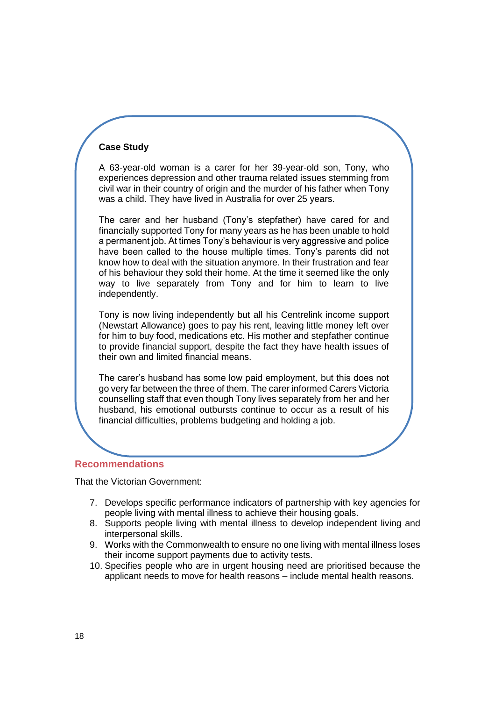#### **Case Study**

A 63-year-old woman is a carer for her 39-year-old son, Tony, who experiences depression and other trauma related issues stemming from civil war in their country of origin and the murder of his father when Tony was a child. They have lived in Australia for over 25 years.

The carer and her husband (Tony's stepfather) have cared for and financially supported Tony for many years as he has been unable to hold a permanent job. At times Tony's behaviour is very aggressive and police have been called to the house multiple times. Tony's parents did not know how to deal with the situation anymore. In their frustration and fear of his behaviour they sold their home. At the time it seemed like the only way to live separately from Tony and for him to learn to live independently.

Tony is now living independently but all his Centrelink income support (Newstart Allowance) goes to pay his rent, leaving little money left over for him to buy food, medications etc. His mother and stepfather continue to provide financial support, despite the fact they have health issues of their own and limited financial means.

The carer's husband has some low paid employment, but this does not go very far between the three of them. The carer informed Carers Victoria counselling staff that even though Tony lives separately from her and her husband, his emotional outbursts continue to occur as a result of his financial difficulties, problems budgeting and holding a job.

#### **Recommendations**

That the Victorian Government:

- 7. Develops specific performance indicators of partnership with key agencies for people living with mental illness to achieve their housing goals.
- 8. Supports people living with mental illness to develop independent living and interpersonal skills.
- 9. Works with the Commonwealth to ensure no one living with mental illness loses their income support payments due to activity tests.
- 10. Specifies people who are in urgent housing need are prioritised because the applicant needs to move for health reasons – include mental health reasons.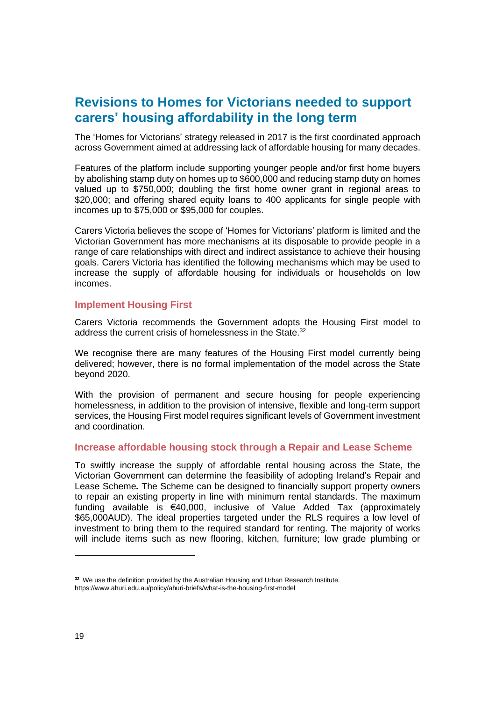### <span id="page-18-0"></span>**Revisions to Homes for Victorians needed to support carers' housing affordability in the long term**

The 'Homes for Victorians' strategy released in 2017 is the first coordinated approach across Government aimed at addressing lack of affordable housing for many decades.

Features of the platform include supporting younger people and/or first home buyers by abolishing stamp duty on homes up to \$600,000 and reducing stamp duty on homes valued up to \$750,000; doubling the first home owner grant in regional areas to \$20,000; and offering shared equity loans to 400 applicants for single people with incomes up to \$75,000 or \$95,000 for couples.

Carers Victoria believes the scope of 'Homes for Victorians' platform is limited and the Victorian Government has more mechanisms at its disposable to provide people in a range of care relationships with direct and indirect assistance to achieve their housing goals. Carers Victoria has identified the following mechanisms which may be used to increase the supply of affordable housing for individuals or households on low incomes.

#### **Implement Housing First**

Carers Victoria recommends the Government adopts the Housing First model to address the current crisis of homelessness in the State.<sup>32</sup>

We recognise there are many features of the Housing First model currently being delivered; however, there is no formal implementation of the model across the State beyond 2020.

With the provision of permanent and secure housing for people experiencing homelessness, in addition to the provision of intensive, flexible and long-term support services, the Housing First model requires significant levels of Government investment and coordination.

#### **Increase affordable housing stock through a Repair and Lease Scheme**

To swiftly increase the supply of affordable rental housing across the State, the Victorian Government can determine the feasibility of adopting Ireland's Repair and Lease Scheme*.* The Scheme can be designed to financially support property owners to repair an existing property in line with minimum rental standards. The maximum funding available is €40,000, inclusive of Value Added Tax (approximately \$65,000AUD). The ideal properties targeted under the RLS requires a low level of investment to bring them to the required standard for renting. The majority of works will include items such as new flooring, kitchen, furniture; low grade plumbing or

**<sup>32</sup>** We use the definition provided by the Australian Housing and Urban Research Institute. <https://www.ahuri.edu.au/policy/ahuri-briefs/what-is-the-housing-first-model>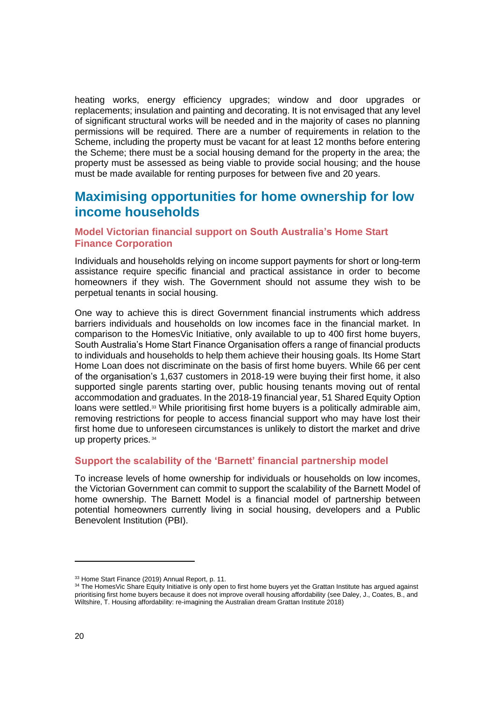heating works, energy efficiency upgrades; window and door upgrades or replacements; insulation and painting and decorating. It is not envisaged that any level of significant structural works will be needed and in the majority of cases no planning permissions will be required. There are a number of requirements in relation to the Scheme, including the property must be vacant for at least 12 months before entering the Scheme; there must be a social housing demand for the property in the area; the property must be assessed as being viable to provide social housing; and the house must be made available for renting purposes for between five and 20 years.

### <span id="page-19-0"></span>**Maximising opportunities for home ownership for low income households**

#### **Model Victorian financial support on South Australia's Home Start Finance Corporation**

Individuals and households relying on income support payments for short or long-term assistance require specific financial and practical assistance in order to become homeowners if they wish. The Government should not assume they wish to be perpetual tenants in social housing.

One way to achieve this is direct Government financial instruments which address barriers individuals and households on low incomes face in the financial market. In comparison to the HomesVic Initiative, only available to up to 400 first home buyers, South Australia's Home Start Finance Organisation offers a range of financial products to individuals and households to help them achieve their housing goals. Its Home Start Home Loan does not discriminate on the basis of first home buyers. While 66 per cent of the organisation's 1,637 customers in 2018-19 were buying their first home, it also supported single parents starting over, public housing tenants moving out of rental accommodation and graduates. In the 2018-19 financial year, 51 Shared Equity Option loans were settled.<sup>33</sup> While prioritising first home buyers is a politically admirable aim, removing restrictions for people to access financial support who may have lost their first home due to unforeseen circumstances is unlikely to distort the market and drive up property prices. <sup>34</sup>

#### **Support the scalability of the 'Barnett' financial partnership model**

To increase levels of home ownership for individuals or households on low incomes, the Victorian Government can commit to support the scalability of the Barnett Model of home ownership. The Barnett Model is a financial model of partnership between potential homeowners currently living in social housing, developers and a Public Benevolent Institution (PBI).

<sup>33</sup> Home Start Finance (2019) Annual Report, p. 11.

<sup>34</sup> The HomesVic Share Equity Initiative is only open to first home buyers yet the Grattan Institute has argued against prioritising first home buyers because it does not improve overall housing affordability (see Daley, J., Coates, B., and Wiltshire, T. Housing affordability: re-imagining the Australian dream Grattan Institute 2018)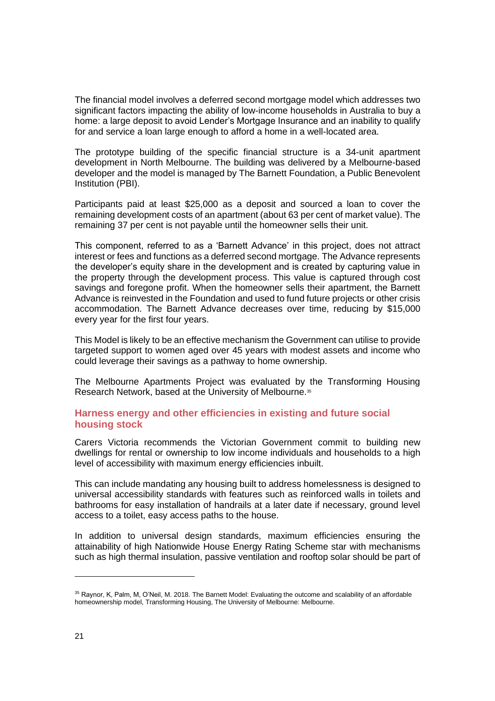The financial model involves a deferred second mortgage model which addresses two significant factors impacting the ability of low-income households in Australia to buy a home: a large deposit to avoid Lender's Mortgage Insurance and an inability to qualify for and service a loan large enough to afford a home in a well-located area.

The prototype building of the specific financial structure is a 34-unit apartment development in North Melbourne. The building was delivered by a Melbourne-based developer and the model is managed by The Barnett Foundation, a Public Benevolent Institution (PBI).

Participants paid at least \$25,000 as a deposit and sourced a loan to cover the remaining development costs of an apartment (about 63 per cent of market value). The remaining 37 per cent is not payable until the homeowner sells their unit.

This component, referred to as a 'Barnett Advance' in this project, does not attract interest or fees and functions as a deferred second mortgage. The Advance represents the developer's equity share in the development and is created by capturing value in the property through the development process. This value is captured through cost savings and foregone profit. When the homeowner sells their apartment, the Barnett Advance is reinvested in the Foundation and used to fund future projects or other crisis accommodation. The Barnett Advance decreases over time, reducing by \$15,000 every year for the first four years.

This Model is likely to be an effective mechanism the Government can utilise to provide targeted support to women aged over 45 years with modest assets and income who could leverage their savings as a pathway to home ownership.

The Melbourne Apartments Project was evaluated by the Transforming Housing Research Network, based at the University of Melbourne.<sup>35</sup>

#### **Harness energy and other efficiencies in existing and future social housing stock**

Carers Victoria recommends the Victorian Government commit to building new dwellings for rental or ownership to low income individuals and households to a high level of accessibility with maximum energy efficiencies inbuilt.

This can include mandating any housing built to address homelessness is designed to universal accessibility standards with features such as reinforced walls in toilets and bathrooms for easy installation of handrails at a later date if necessary, ground level access to a toilet, easy access paths to the house.

In addition to universal design standards, maximum efficiencies ensuring the attainability of high Nationwide House Energy Rating Scheme star with mechanisms such as high thermal insulation, passive ventilation and rooftop solar should be part of

<sup>35</sup> Raynor, K, Palm, M, O'Neil, M. 2018. The Barnett Model: Evaluating the outcome and scalability of an affordable homeownership model, Transforming Housing, The University of Melbourne: Melbourne.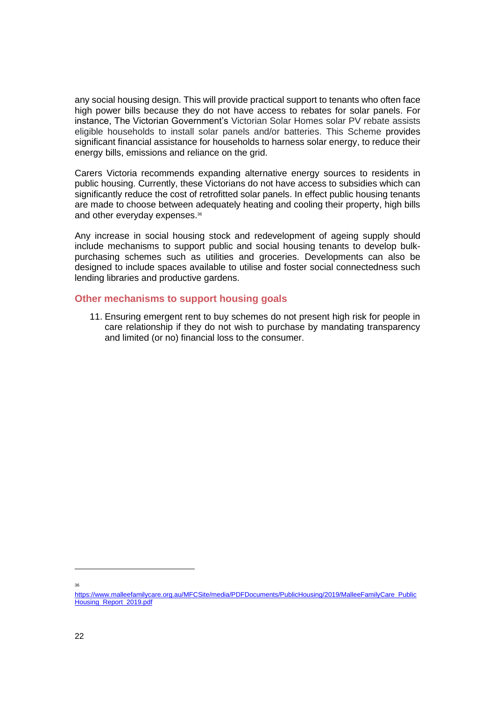any social housing design. This will provide practical support to tenants who often face high power bills because they do not have access to rebates for solar panels. For instance, The Victorian Government's Victorian Solar Homes solar PV rebate assists eligible households to install solar panels and/or batteries. This Scheme provides significant financial assistance for households to harness solar energy, to reduce their energy bills, emissions and reliance on the grid.

Carers Victoria recommends expanding alternative energy sources to residents in public housing. Currently, these Victorians do not have access to subsidies which can significantly reduce the cost of retrofitted solar panels. In effect public housing tenants are made to choose between adequately heating and cooling their property, high bills and other everyday expenses.<sup>36</sup>

Any increase in social housing stock and redevelopment of ageing supply should include mechanisms to support public and social housing tenants to develop bulkpurchasing schemes such as utilities and groceries. Developments can also be designed to include spaces available to utilise and foster social connectedness such lending libraries and productive gardens.

#### **Other mechanisms to support housing goals**

11. Ensuring emergent rent to buy schemes do not present high risk for people in care relationship if they do not wish to purchase by mandating transparency and limited (or no) financial loss to the consumer.

36

[https://www.malleefamilycare.org.au/MFCSite/media/PDFDocuments/PublicHousing/2019/MalleeFamilyCare\\_Public](https://www.malleefamilycare.org.au/MFCSite/media/PDFDocuments/PublicHousing/2019/MalleeFamilyCare_PublicHousing_Report_2019.pdf) [Housing\\_Report\\_2019.pdf](https://www.malleefamilycare.org.au/MFCSite/media/PDFDocuments/PublicHousing/2019/MalleeFamilyCare_PublicHousing_Report_2019.pdf)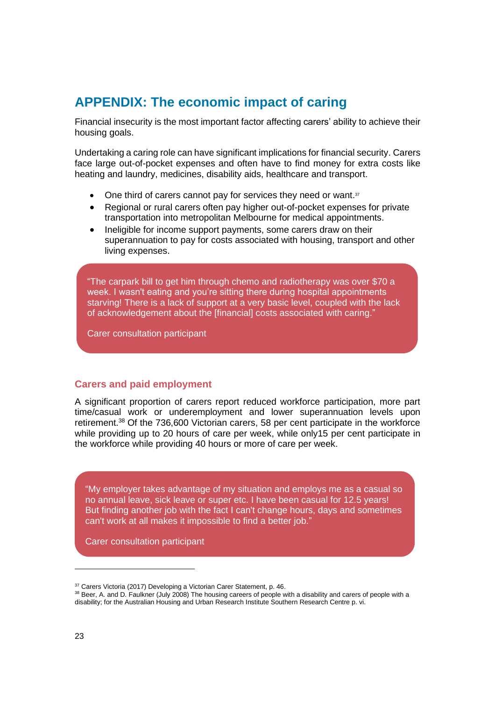### <span id="page-22-0"></span>**APPENDIX: The economic impact of caring**

Financial insecurity is the most important factor affecting carers' ability to achieve their housing goals.

Undertaking a caring role can have significant implications for financial security. Carers face large out-of-pocket expenses and often have to find money for extra costs like heating and laundry, medicines, disability aids, healthcare and transport.

- One third of carers cannot pay for services they need or want.<sup>37</sup>
- Regional or rural carers often pay higher out-of-pocket expenses for private transportation into metropolitan Melbourne for medical appointments.
- Ineligible for income support payments, some carers draw on their superannuation to pay for costs associated with housing, transport and other living expenses.

"The carpark bill to get him through chemo and radiotherapy was over \$70 a week. I wasn't eating and you're sitting there during hospital appointments starving! There is a lack of support at a very basic level, coupled with the lack of acknowledgement about the [financial] costs associated with caring."

Carer consultation participant

#### **Carers and paid employment**

A significant proportion of carers report reduced workforce participation, more part time/casual work or underemployment and lower superannuation levels upon retirement.<sup>38</sup> Of the 736,600 Victorian carers, 58 per cent participate in the workforce while providing up to 20 hours of care per week, while only15 per cent participate in the workforce while providing 40 hours or more of care per week.

"My employer takes advantage of my situation and employs me as a casual so no annual leave, sick leave or super etc. I have been casual for 12.5 years! But finding another job with the fact I can't change hours, days and sometimes can't work at all makes it impossible to find a better job."

Carer consultation participant

<sup>&</sup>lt;sup>37</sup> Carers Victoria (2017) Developing a Victorian Carer Statement, p. 46.

<sup>38</sup> Beer, A. and D. Faulkner (July 2008) The housing careers of people with a disability and carers of people with a disability; for the Australian Housing and Urban Research Institute Southern Research Centre p. vi.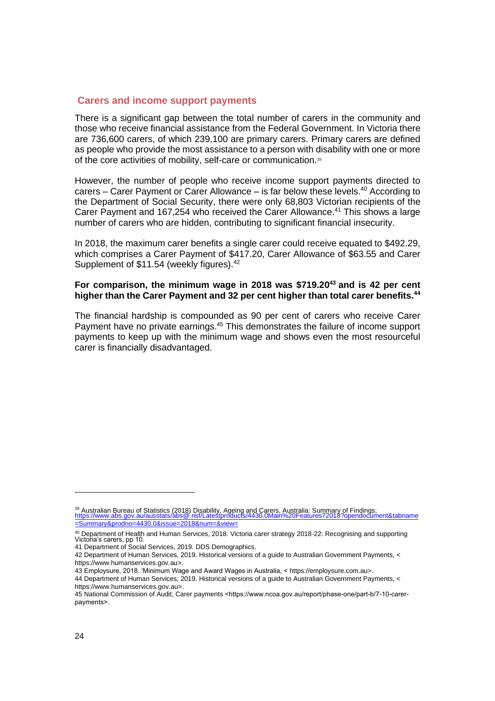#### **Carers and income support payments**

There is a significant gap between the total number of carers in the community and those who receive financial assistance from the Federal Government. In Victoria there are 736,600 carers, of which 239,100 are primary carers. Primary carers are defined as people who provide the most assistance to a person with disability with one or more of the core activities of mobility, self-care or communication.<sup>39</sup>

However, the number of people who receive income support payments directed to carers – Carer Payment or Carer Allowance – is far below these levels. <sup>40</sup> According to the Department of Social Security, there were only 68,803 Victorian recipients of the Carer Payment and 167,254 who received the Carer Allowance. <sup>41</sup> This shows a large number of carers who are hidden, contributing to significant financial insecurity.

In 2018, the maximum carer benefits a single carer could receive equated to \$492.29, which comprises a Carer Payment of \$417.20, Carer Allowance of \$63.55 and Carer Supplement of \$11.54 (weekly figures).<sup>42</sup>

#### **For comparison, the minimum wage in 2018 was \$719.20 <sup>43</sup> and is 42 per cent higher than the Carer Payment and 32 per cent higher than total carer benefits. 44**

The financial hardship is compounded as 90 per cent of carers who receive Carer Payment have no private earnings.<sup>45</sup> This demonstrates the failure of income support payments to keep up with the minimum wage and shows even the most resourceful carer is financially disadvantaged.

<sup>&</sup>lt;sup>39</sup> Australian Bureau of Statistics (2018) Disability, Ageing and Carers, Australia: Summary of Findings;<br><u>[https://www.abs.gov.au/ausstats/abs@.nsf/Latestproducts/4430.0Main%20Features72018?opendocument&tabname](https://www.abs.gov.au/ausstats/abs@.nsf/Latestproducts/4430.0Main%20Features72018?opendocument&tabname=Summary&prodno=4430.0&issue=2018&num=&view=)</u> [=Summary&prodno=4430.0&issue=2018&num=&view=](https://www.abs.gov.au/ausstats/abs@.nsf/Latestproducts/4430.0Main%20Features72018?opendocument&tabname=Summary&prodno=4430.0&issue=2018&num=&view=)

<sup>&</sup>lt;sup>40</sup> Department of Health and Human Services, 2018. Victoria carer strategy 2018-22: Recognising and supporting Victoria's carers, pp 10.

<sup>41</sup> Department of Social Services, 2019. DDS Demographics.

<sup>42</sup> Department of Human Services, 2019. Historical versions of a guide to Australian Government Payments, < [https://www.humanservices.gov.au>](https://www.humanservices.gov.au/).

<sup>43</sup> Employsure, 2018. 'Minimum Wage and Award Wages in Australia, < [https://employsure.com.au>.](https://employsure.com.au/)

<sup>44</sup> Department of Human Services, 2019. Historical versions of a guide to Australian Government Payments, < [https://www.humanservices.gov.au>](https://www.humanservices.gov.au/).

<sup>45</sup> National Commission of Audit, Carer payments <https://www.ncoa.gov.au/report/phase-one/part-b/7-10-carerpayments>.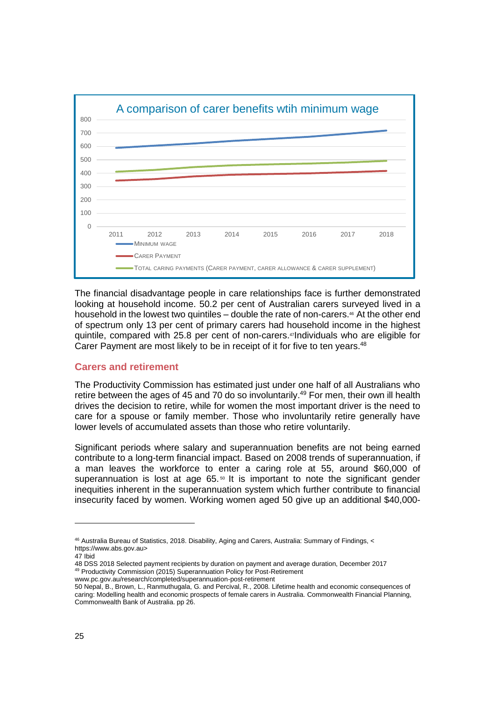

The financial disadvantage people in care relationships face is further demonstrated looking at household income. 50.2 per cent of Australian carers surveyed lived in a household in the lowest two quintiles – double the rate of non-carers. <sup>46</sup> At the other end of spectrum only 13 per cent of primary carers had household income in the highest quintile, compared with 25.8 per cent of non-carers. <sup>47</sup>Individuals who are eligible for Carer Payment are most likely to be in receipt of it for five to ten years.<sup>48</sup>

#### **Carers and retirement**

The Productivity Commission has estimated just under one half of all Australians who retire between the ages of 45 and 70 do so involuntarily.<sup>49</sup> For men, their own ill health drives the decision to retire, while for women the most important driver is the need to care for a spouse or family member. Those who involuntarily retire generally have lower levels of accumulated assets than those who retire voluntarily.

Significant periods where salary and superannuation benefits are not being earned contribute to a long-term financial impact. Based on 2008 trends of superannuation, if a man leaves the workforce to enter a caring role at 55, around \$60,000 of superannuation is lost at age  $65.$ <sup> $\circ$ </sup> It is important to note the significant gender inequities inherent in the superannuation system which further contribute to financial insecurity faced by women. Working women aged 50 give up an additional \$40,000-

47 Ibid

48 DSS 2018 Selected payment recipients by duration on payment and average duration, December 2017 <sup>49</sup> Productivity Commission (2015) Superannuation Policy for Post-Retirement www.pc.gov.au/research/completed/superannuation-post-retirement

<sup>46</sup> Australia Bureau of Statistics, 2018. Disability, Aging and Carers, Australia: Summary of Findings, < [https://www.abs.gov.au>](https://www.abs.gov.au/)

<sup>50</sup> Nepal, B., Brown, L., Ranmuthugala, G. and Percival, R., 2008. Lifetime health and economic consequences of caring: Modelling health and economic prospects of female carers in Australia. Commonwealth Financial Planning, Commonwealth Bank of Australia. pp 26.